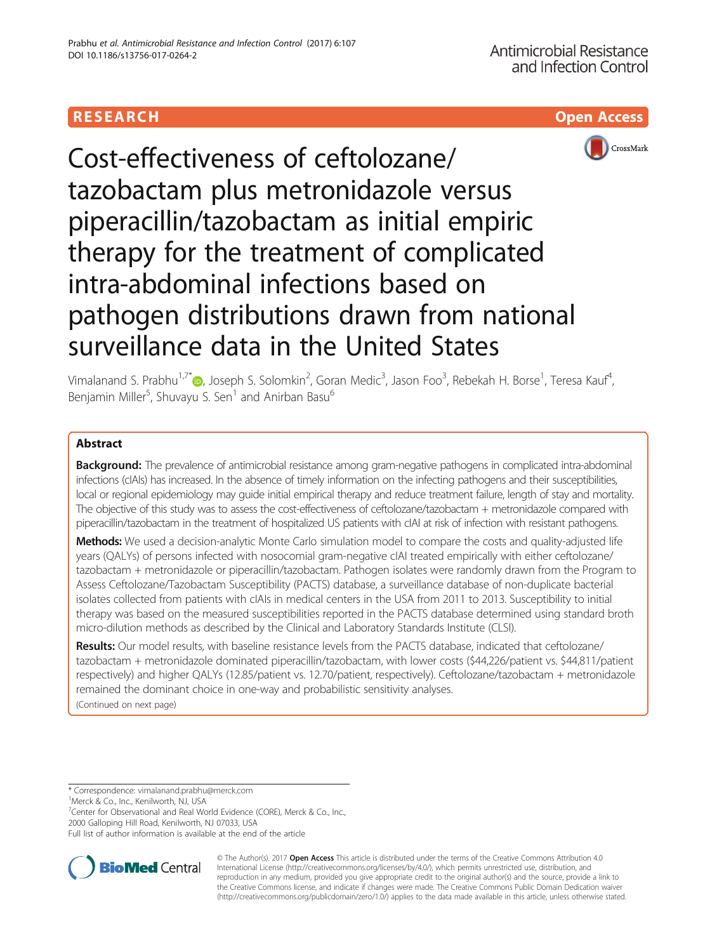



Cost-effectiveness of ceftolozane/ tazobactam plus metronidazole versus piperacillin/tazobactam as initial empiric therapy for the treatment of complicated intra-abdominal infections based on pathogen distributions drawn from national surveillance data in the United States

Vimalanand S. Prabhu<sup>1[,](http://orcid.org/0000-0003-1358-8846)7\*</sup>®, Joseph S. Solomkin<sup>2</sup>, Goran Medic<sup>3</sup>, Jason Foo<sup>3</sup>, Rebekah H. Borse<sup>1</sup>, Teresa Kauf<sup>4</sup> , Benjamin Miller<sup>5</sup>, Shuvayu S. Sen<sup>1</sup> and Anirban Basu<sup>6</sup>

# Abstract

Background: The prevalence of antimicrobial resistance among gram-negative pathogens in complicated intra-abdominal infections (cIAIs) has increased. In the absence of timely information on the infecting pathogens and their susceptibilities, local or regional epidemiology may guide initial empirical therapy and reduce treatment failure, length of stay and mortality. The objective of this study was to assess the cost-effectiveness of ceftolozane/tazobactam + metronidazole compared with piperacillin/tazobactam in the treatment of hospitalized US patients with cIAI at risk of infection with resistant pathogens.

Methods: We used a decision-analytic Monte Carlo simulation model to compare the costs and quality-adjusted life years (QALYs) of persons infected with nosocomial gram-negative cIAI treated empirically with either ceftolozane/ tazobactam + metronidazole or piperacillin/tazobactam. Pathogen isolates were randomly drawn from the Program to Assess Ceftolozane/Tazobactam Susceptibility (PACTS) database, a surveillance database of non-duplicate bacterial isolates collected from patients with cIAIs in medical centers in the USA from 2011 to 2013. Susceptibility to initial therapy was based on the measured susceptibilities reported in the PACTS database determined using standard broth micro-dilution methods as described by the Clinical and Laboratory Standards Institute (CLSI).

Results: Our model results, with baseline resistance levels from the PACTS database, indicated that ceftolozane/ tazobactam + metronidazole dominated piperacillin/tazobactam, with lower costs (\$44,226/patient vs. \$44,811/patient respectively) and higher QALYs (12.85/patient vs. 12.70/patient, respectively). Ceftolozane/tazobactam + metronidazole remained the dominant choice in one-way and probabilistic sensitivity analyses. (Continued on next page)

\* Correspondence: [vimalanand.prabhu@merck.com](mailto:vimalanand.prabhu@merck.com) <sup>1</sup>

<sup>1</sup>Merck & Co., Inc., Kenilworth, NJ, USA

<sup>7</sup>Center for Observational and Real World Evidence (CORE), Merck & Co., Inc., 2000 Galloping Hill Road, Kenilworth, NJ 07033, USA Full list of author information is available at the end of the article



© The Author(s). 2017 **Open Access** This article is distributed under the terms of the Creative Commons Attribution 4.0 International License [\(http://creativecommons.org/licenses/by/4.0/](http://creativecommons.org/licenses/by/4.0/)), which permits unrestricted use, distribution, and reproduction in any medium, provided you give appropriate credit to the original author(s) and the source, provide a link to the Creative Commons license, and indicate if changes were made. The Creative Commons Public Domain Dedication waiver [\(http://creativecommons.org/publicdomain/zero/1.0/](http://creativecommons.org/publicdomain/zero/1.0/)) applies to the data made available in this article, unless otherwise stated.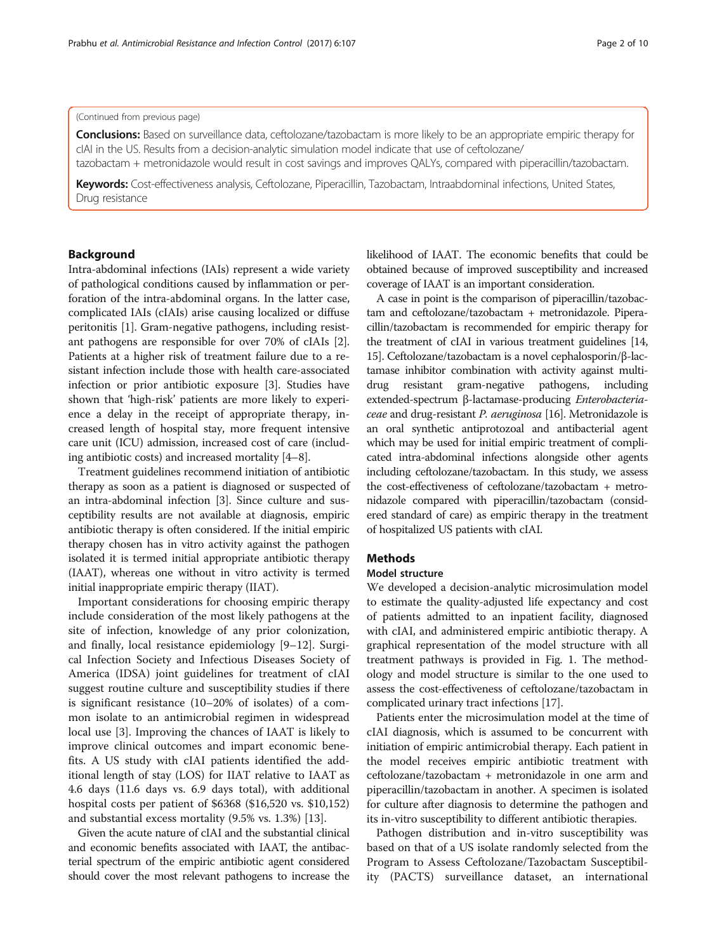## (Continued from previous page)

**Conclusions:** Based on surveillance data, ceftolozane/tazobactam is more likely to be an appropriate empiric therapy for cIAI in the US. Results from a decision-analytic simulation model indicate that use of ceftolozane/ tazobactam + metronidazole would result in cost savings and improves QALYs, compared with piperacillin/tazobactam.

Keywords: Cost-effectiveness analysis, Ceftolozane, Piperacillin, Tazobactam, Intraabdominal infections, United States, Drug resistance

## Background

Intra-abdominal infections (IAIs) represent a wide variety of pathological conditions caused by inflammation or perforation of the intra-abdominal organs. In the latter case, complicated IAIs (cIAIs) arise causing localized or diffuse peritonitis [[1](#page-8-0)]. Gram-negative pathogens, including resistant pathogens are responsible for over 70% of cIAIs [[2](#page-8-0)]. Patients at a higher risk of treatment failure due to a resistant infection include those with health care-associated infection or prior antibiotic exposure [\[3\]](#page-8-0). Studies have shown that 'high-risk' patients are more likely to experience a delay in the receipt of appropriate therapy, increased length of hospital stay, more frequent intensive care unit (ICU) admission, increased cost of care (including antibiotic costs) and increased mortality [\[4](#page-9-0)–[8\]](#page-9-0).

Treatment guidelines recommend initiation of antibiotic therapy as soon as a patient is diagnosed or suspected of an intra-abdominal infection [\[3](#page-8-0)]. Since culture and susceptibility results are not available at diagnosis, empiric antibiotic therapy is often considered. If the initial empiric therapy chosen has in vitro activity against the pathogen isolated it is termed initial appropriate antibiotic therapy (IAAT), whereas one without in vitro activity is termed initial inappropriate empiric therapy (IIAT).

Important considerations for choosing empiric therapy include consideration of the most likely pathogens at the site of infection, knowledge of any prior colonization, and finally, local resistance epidemiology [[9](#page-9-0)–[12](#page-9-0)]. Surgical Infection Society and Infectious Diseases Society of America (IDSA) joint guidelines for treatment of cIAI suggest routine culture and susceptibility studies if there is significant resistance (10–20% of isolates) of a common isolate to an antimicrobial regimen in widespread local use [[3\]](#page-8-0). Improving the chances of IAAT is likely to improve clinical outcomes and impart economic benefits. A US study with cIAI patients identified the additional length of stay (LOS) for IIAT relative to IAAT as 4.6 days (11.6 days vs. 6.9 days total), with additional hospital costs per patient of \$6368 (\$16,520 vs. \$10,152) and substantial excess mortality (9.5% vs. 1.3%) [\[13](#page-9-0)].

Given the acute nature of cIAI and the substantial clinical and economic benefits associated with IAAT, the antibacterial spectrum of the empiric antibiotic agent considered should cover the most relevant pathogens to increase the likelihood of IAAT. The economic benefits that could be obtained because of improved susceptibility and increased coverage of IAAT is an important consideration.

A case in point is the comparison of piperacillin/tazobactam and ceftolozane/tazobactam + metronidazole. Piperacillin/tazobactam is recommended for empiric therapy for the treatment of cIAI in various treatment guidelines [\[14](#page-9-0), [15](#page-9-0)]. Ceftolozane/tazobactam is a novel cephalosporin/β-lactamase inhibitor combination with activity against multidrug resistant gram-negative pathogens, including extended-spectrum β-lactamase-producing Enterobacteriaceae and drug-resistant P. aeruginosa [[16](#page-9-0)]. Metronidazole is an oral synthetic antiprotozoal and antibacterial agent which may be used for initial empiric treatment of complicated intra-abdominal infections alongside other agents including ceftolozane/tazobactam. In this study, we assess the cost-effectiveness of ceftolozane/tazobactam + metronidazole compared with piperacillin/tazobactam (considered standard of care) as empiric therapy in the treatment of hospitalized US patients with cIAI.

## **Methods**

# Model structure

We developed a decision-analytic microsimulation model to estimate the quality-adjusted life expectancy and cost of patients admitted to an inpatient facility, diagnosed with cIAI, and administered empiric antibiotic therapy. A graphical representation of the model structure with all treatment pathways is provided in Fig. [1.](#page-2-0) The methodology and model structure is similar to the one used to assess the cost-effectiveness of ceftolozane/tazobactam in complicated urinary tract infections [\[17\]](#page-9-0).

Patients enter the microsimulation model at the time of cIAI diagnosis, which is assumed to be concurrent with initiation of empiric antimicrobial therapy. Each patient in the model receives empiric antibiotic treatment with ceftolozane/tazobactam + metronidazole in one arm and piperacillin/tazobactam in another. A specimen is isolated for culture after diagnosis to determine the pathogen and its in-vitro susceptibility to different antibiotic therapies.

Pathogen distribution and in-vitro susceptibility was based on that of a US isolate randomly selected from the Program to Assess Ceftolozane/Tazobactam Susceptibility (PACTS) surveillance dataset, an international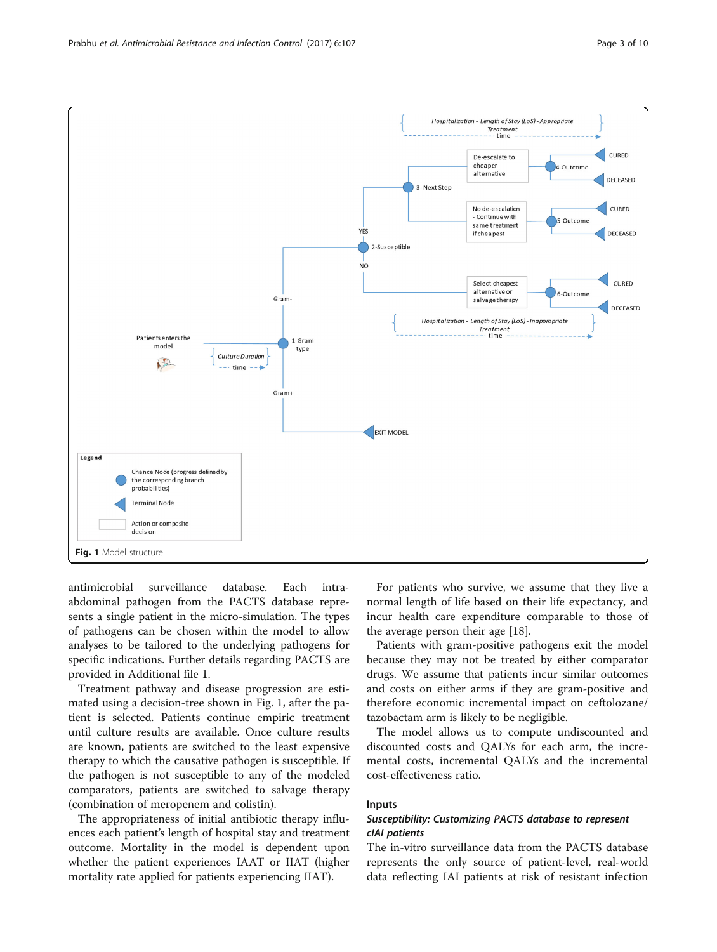<span id="page-2-0"></span>

antimicrobial surveillance database. Each intraabdominal pathogen from the PACTS database represents a single patient in the micro-simulation. The types of pathogens can be chosen within the model to allow analyses to be tailored to the underlying pathogens for specific indications. Further details regarding PACTS are provided in Additional file [1.](#page-8-0)

Treatment pathway and disease progression are estimated using a decision-tree shown in Fig. 1, after the patient is selected. Patients continue empiric treatment until culture results are available. Once culture results are known, patients are switched to the least expensive therapy to which the causative pathogen is susceptible. If the pathogen is not susceptible to any of the modeled comparators, patients are switched to salvage therapy (combination of meropenem and colistin).

The appropriateness of initial antibiotic therapy influences each patient's length of hospital stay and treatment outcome. Mortality in the model is dependent upon whether the patient experiences IAAT or IIAT (higher mortality rate applied for patients experiencing IIAT).

For patients who survive, we assume that they live a normal length of life based on their life expectancy, and incur health care expenditure comparable to those of the average person their age [\[18\]](#page-9-0).

Patients with gram-positive pathogens exit the model because they may not be treated by either comparator drugs. We assume that patients incur similar outcomes and costs on either arms if they are gram-positive and therefore economic incremental impact on ceftolozane/ tazobactam arm is likely to be negligible.

The model allows us to compute undiscounted and discounted costs and QALYs for each arm, the incremental costs, incremental QALYs and the incremental cost-effectiveness ratio.

## Inputs

# Susceptibility: Customizing PACTS database to represent cIAI patients

The in-vitro surveillance data from the PACTS database represents the only source of patient-level, real-world data reflecting IAI patients at risk of resistant infection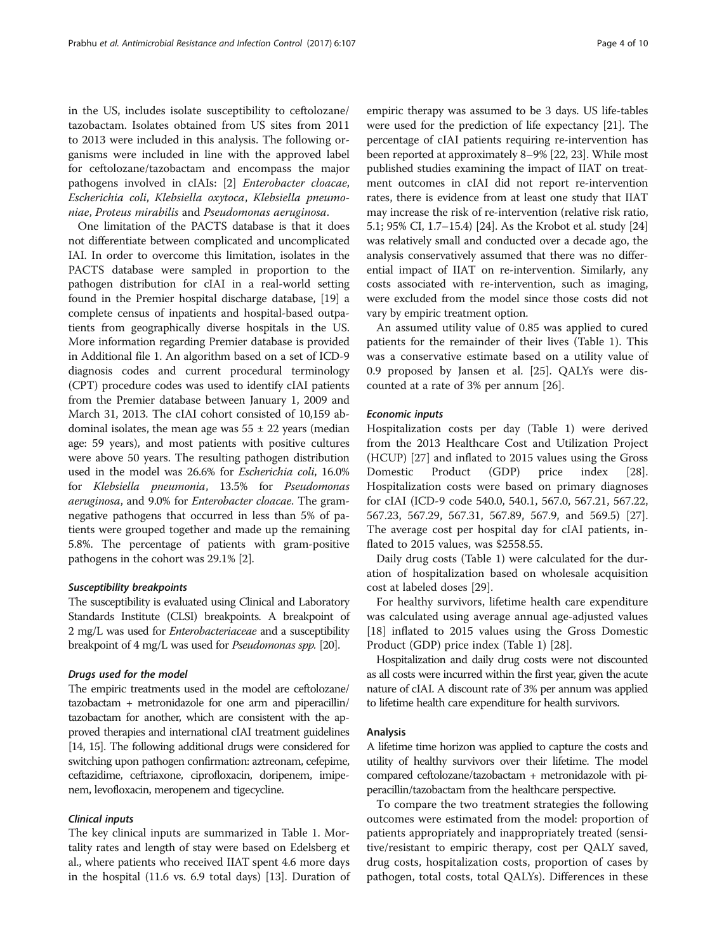in the US, includes isolate susceptibility to ceftolozane/ tazobactam. Isolates obtained from US sites from 2011 to 2013 were included in this analysis. The following organisms were included in line with the approved label for ceftolozane/tazobactam and encompass the major pathogens involved in cIAIs: [\[2](#page-8-0)] Enterobacter cloacae, Escherichia coli, Klebsiella oxytoca, Klebsiella pneumoniae, Proteus mirabilis and Pseudomonas aeruginosa.

One limitation of the PACTS database is that it does not differentiate between complicated and uncomplicated IAI. In order to overcome this limitation, isolates in the PACTS database were sampled in proportion to the pathogen distribution for cIAI in a real-world setting found in the Premier hospital discharge database, [\[19\]](#page-9-0) a complete census of inpatients and hospital-based outpatients from geographically diverse hospitals in the US. More information regarding Premier database is provided in Additional file [1](#page-8-0). An algorithm based on a set of ICD-9 diagnosis codes and current procedural terminology (CPT) procedure codes was used to identify cIAI patients from the Premier database between January 1, 2009 and March 31, 2013. The cIAI cohort consisted of 10,159 abdominal isolates, the mean age was  $55 \pm 22$  years (median age: 59 years), and most patients with positive cultures were above 50 years. The resulting pathogen distribution used in the model was 26.6% for Escherichia coli, 16.0% for Klebsiella pneumonia, 13.5% for Pseudomonas aeruginosa, and 9.0% for Enterobacter cloacae. The gramnegative pathogens that occurred in less than 5% of patients were grouped together and made up the remaining 5.8%. The percentage of patients with gram-positive pathogens in the cohort was 29.1% [\[2](#page-8-0)].

## Susceptibility breakpoints

The susceptibility is evaluated using Clinical and Laboratory Standards Institute (CLSI) breakpoints. A breakpoint of 2 mg/L was used for Enterobacteriaceae and a susceptibility breakpoint of 4 mg/L was used for Pseudomonas spp. [\[20\]](#page-9-0).

## Drugs used for the model

The empiric treatments used in the model are ceftolozane/ tazobactam + metronidazole for one arm and piperacillin/ tazobactam for another, which are consistent with the approved therapies and international cIAI treatment guidelines [[14, 15](#page-9-0)]. The following additional drugs were considered for switching upon pathogen confirmation: aztreonam, cefepime, ceftazidime, ceftriaxone, ciprofloxacin, doripenem, imipenem, levofloxacin, meropenem and tigecycline.

# Clinical inputs

The key clinical inputs are summarized in Table [1.](#page-4-0) Mortality rates and length of stay were based on Edelsberg et al., where patients who received IIAT spent 4.6 more days in the hospital (11.6 vs. 6.9 total days) [[13](#page-9-0)]. Duration of

empiric therapy was assumed to be 3 days. US life-tables were used for the prediction of life expectancy [\[21\]](#page-9-0). The percentage of cIAI patients requiring re-intervention has been reported at approximately 8–9% [\[22, 23](#page-9-0)]. While most published studies examining the impact of IIAT on treatment outcomes in cIAI did not report re-intervention rates, there is evidence from at least one study that IIAT may increase the risk of re-intervention (relative risk ratio, 5.1; 95% CI, 1.7–15.4) [\[24](#page-9-0)]. As the Krobot et al. study [[24](#page-9-0)] was relatively small and conducted over a decade ago, the analysis conservatively assumed that there was no differential impact of IIAT on re-intervention. Similarly, any costs associated with re-intervention, such as imaging, were excluded from the model since those costs did not vary by empiric treatment option.

An assumed utility value of 0.85 was applied to cured patients for the remainder of their lives (Table [1](#page-4-0)). This was a conservative estimate based on a utility value of 0.9 proposed by Jansen et al. [\[25](#page-9-0)]. QALYs were discounted at a rate of 3% per annum [[26\]](#page-9-0).

## Economic inputs

Hospitalization costs per day (Table [1](#page-4-0)) were derived from the 2013 Healthcare Cost and Utilization Project (HCUP) [\[27](#page-9-0)] and inflated to 2015 values using the Gross Domestic Product (GDP) price index [\[28](#page-9-0)]. Hospitalization costs were based on primary diagnoses for cIAI (ICD-9 code 540.0, 540.1, 567.0, 567.21, 567.22, 567.23, 567.29, 567.31, 567.89, 567.9, and 569.5) [\[27](#page-9-0)]. The average cost per hospital day for cIAI patients, inflated to 2015 values, was \$2558.55.

Daily drug costs (Table [1\)](#page-4-0) were calculated for the duration of hospitalization based on wholesale acquisition cost at labeled doses [[29](#page-9-0)].

For healthy survivors, lifetime health care expenditure was calculated using average annual age-adjusted values [[18\]](#page-9-0) inflated to 2015 values using the Gross Domestic Product (GDP) price index (Table [1](#page-4-0)) [\[28](#page-9-0)].

Hospitalization and daily drug costs were not discounted as all costs were incurred within the first year, given the acute nature of cIAI. A discount rate of 3% per annum was applied to lifetime health care expenditure for health survivors.

## Analysis

A lifetime time horizon was applied to capture the costs and utility of healthy survivors over their lifetime. The model compared ceftolozane/tazobactam + metronidazole with piperacillin/tazobactam from the healthcare perspective.

To compare the two treatment strategies the following outcomes were estimated from the model: proportion of patients appropriately and inappropriately treated (sensitive/resistant to empiric therapy, cost per QALY saved, drug costs, hospitalization costs, proportion of cases by pathogen, total costs, total QALYs). Differences in these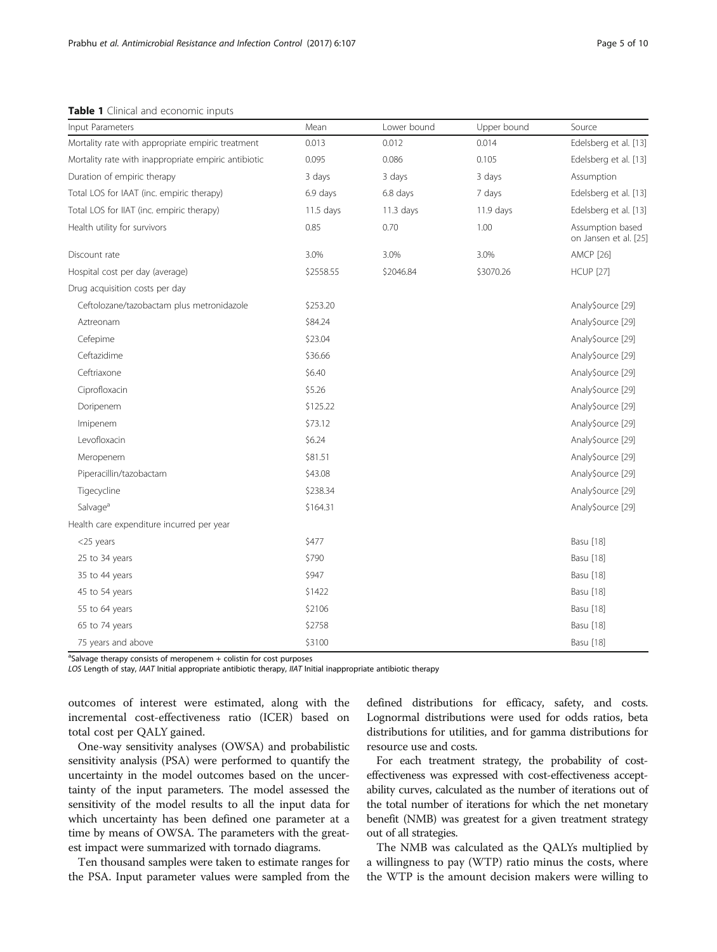<span id="page-4-0"></span>Table 1 Clinical and economic inputs

| Input Parameters                                     | Mean        | Lower bound | Upper bound | Source                                    |
|------------------------------------------------------|-------------|-------------|-------------|-------------------------------------------|
| Mortality rate with appropriate empiric treatment    | 0.013       | 0.012       | 0.014       | Edelsberg et al. [13]                     |
| Mortality rate with inappropriate empiric antibiotic | 0.095       | 0.086       | 0.105       | Edelsberg et al. [13]                     |
| Duration of empiric therapy                          | 3 days      | 3 days      | 3 days      | Assumption                                |
| Total LOS for IAAT (inc. empiric therapy)            | 6.9 days    | 6.8 days    | 7 days      | Edelsberg et al. [13]                     |
| Total LOS for IIAT (inc. empiric therapy)            | $11.5$ days | $11.3$ days | $11.9$ days | Edelsberg et al. [13]                     |
| Health utility for survivors                         | 0.85        | 0.70        | 1.00        | Assumption based<br>on Jansen et al. [25] |
| Discount rate                                        | 3.0%        | 3.0%        | 3.0%        | <b>AMCP</b> [26]                          |
| Hospital cost per day (average)                      | \$2558.55   | \$2046.84   | \$3070.26   | <b>HCUP [27]</b>                          |
| Drug acquisition costs per day                       |             |             |             |                                           |
| Ceftolozane/tazobactam plus metronidazole            | \$253.20    |             |             | Analy\$ource [29]                         |
| Aztreonam                                            | \$84.24     |             |             | Analy\$ource [29]                         |
| Cefepime                                             | \$23.04     |             |             | Analy\$ource [29]                         |
| Ceftazidime                                          | \$36.66     |             |             | Analy\$ource [29]                         |
| Ceftriaxone                                          | \$6.40      |             |             | Analy\$ource [29]                         |
| Ciprofloxacin                                        | \$5.26      |             |             | Analy\$ource [29]                         |
| Doripenem                                            | \$125.22    |             |             | Analy\$ource [29]                         |
| Imipenem                                             | \$73.12     |             |             | Analy\$ource [29]                         |
| Levofloxacin                                         | \$6.24      |             |             | Analy\$ource [29]                         |
| Meropenem                                            | \$81.51     |             |             | Analy\$ource [29]                         |
| Piperacillin/tazobactam                              | \$43.08     |             |             | Analy\$ource [29]                         |
| Tigecycline                                          | \$238.34    |             |             | Analy\$ource [29]                         |
| Salvage <sup>a</sup>                                 | \$164.31    |             |             | Analy\$ource [29]                         |
| Health care expenditure incurred per year            |             |             |             |                                           |
| <25 years                                            | \$477       |             |             | Basu [18]                                 |
| 25 to 34 years                                       | \$790       |             |             | Basu [18]                                 |
| 35 to 44 years                                       | \$947       |             |             | Basu [18]                                 |
| 45 to 54 years                                       | \$1422      |             |             | Basu [18]                                 |
| 55 to 64 years                                       | \$2106      |             |             | Basu [18]                                 |
| 65 to 74 years                                       | \$2758      |             |             | Basu [18]                                 |
| 75 years and above                                   | \$3100      |             |             | Basu [18]                                 |

<sup>a</sup>Salvage therapy consists of meropenem + colistin for cost purposes

LOS Length of stay, IAAT Initial appropriate antibiotic therapy, IIAT Initial inappropriate antibiotic therapy

outcomes of interest were estimated, along with the incremental cost-effectiveness ratio (ICER) based on total cost per QALY gained.

One-way sensitivity analyses (OWSA) and probabilistic sensitivity analysis (PSA) were performed to quantify the uncertainty in the model outcomes based on the uncertainty of the input parameters. The model assessed the sensitivity of the model results to all the input data for which uncertainty has been defined one parameter at a time by means of OWSA. The parameters with the greatest impact were summarized with tornado diagrams.

Ten thousand samples were taken to estimate ranges for the PSA. Input parameter values were sampled from the

defined distributions for efficacy, safety, and costs. Lognormal distributions were used for odds ratios, beta distributions for utilities, and for gamma distributions for resource use and costs.

For each treatment strategy, the probability of costeffectiveness was expressed with cost-effectiveness acceptability curves, calculated as the number of iterations out of the total number of iterations for which the net monetary benefit (NMB) was greatest for a given treatment strategy out of all strategies.

The NMB was calculated as the QALYs multiplied by a willingness to pay (WTP) ratio minus the costs, where the WTP is the amount decision makers were willing to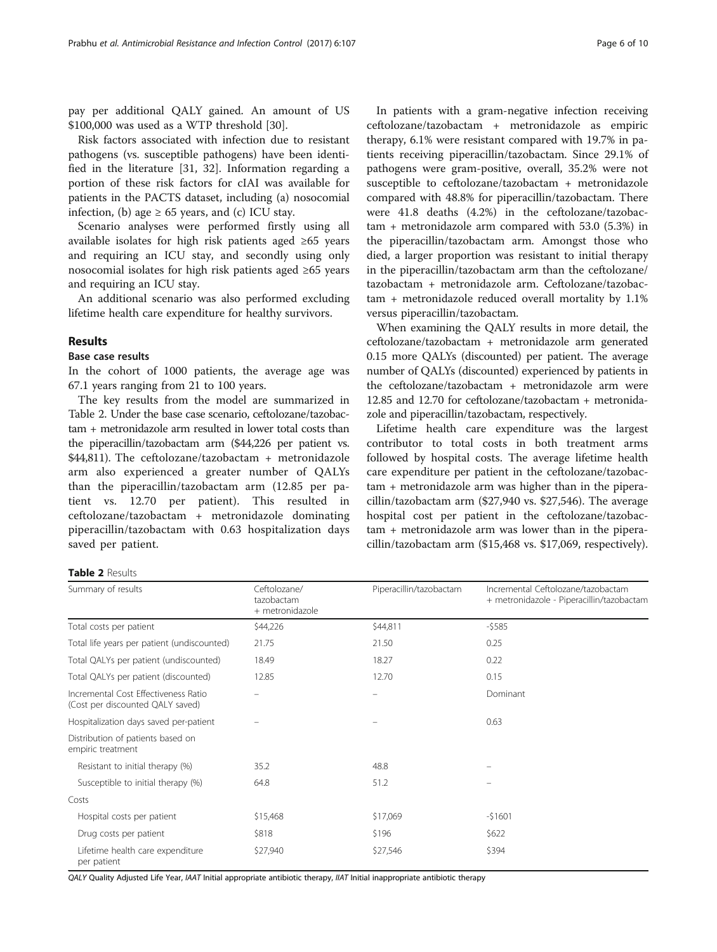pay per additional QALY gained. An amount of US \$100,000 was used as a WTP threshold [[30\]](#page-9-0).

Risk factors associated with infection due to resistant pathogens (vs. susceptible pathogens) have been identified in the literature [\[31, 32\]](#page-9-0). Information regarding a portion of these risk factors for cIAI was available for patients in the PACTS dataset, including (a) nosocomial infection, (b) age  $\geq$  65 years, and (c) ICU stay.

Scenario analyses were performed firstly using all available isolates for high risk patients aged ≥65 years and requiring an ICU stay, and secondly using only nosocomial isolates for high risk patients aged ≥65 years and requiring an ICU stay.

An additional scenario was also performed excluding lifetime health care expenditure for healthy survivors.

# Results

## Base case results

In the cohort of 1000 patients, the average age was 67.1 years ranging from 21 to 100 years.

The key results from the model are summarized in Table 2. Under the base case scenario, ceftolozane/tazobactam + metronidazole arm resulted in lower total costs than the piperacillin/tazobactam arm (\$44,226 per patient vs. \$44,811). The ceftolozane/tazobactam + metronidazole arm also experienced a greater number of QALYs than the piperacillin/tazobactam arm (12.85 per patient vs. 12.70 per patient). This resulted in ceftolozane/tazobactam + metronidazole dominating piperacillin/tazobactam with 0.63 hospitalization days saved per patient.

In patients with a gram-negative infection receiving ceftolozane/tazobactam + metronidazole as empiric therapy, 6.1% were resistant compared with 19.7% in patients receiving piperacillin/tazobactam. Since 29.1% of pathogens were gram-positive, overall, 35.2% were not susceptible to ceftolozane/tazobactam + metronidazole compared with 48.8% for piperacillin/tazobactam. There were 41.8 deaths (4.2%) in the ceftolozane/tazobactam + metronidazole arm compared with 53.0 (5.3%) in the piperacillin/tazobactam arm. Amongst those who died, a larger proportion was resistant to initial therapy in the piperacillin/tazobactam arm than the ceftolozane/ tazobactam + metronidazole arm. Ceftolozane/tazobactam + metronidazole reduced overall mortality by 1.1% versus piperacillin/tazobactam.

When examining the QALY results in more detail, the ceftolozane/tazobactam + metronidazole arm generated 0.15 more QALYs (discounted) per patient. The average number of QALYs (discounted) experienced by patients in the ceftolozane/tazobactam + metronidazole arm were 12.85 and 12.70 for ceftolozane/tazobactam + metronidazole and piperacillin/tazobactam, respectively.

Lifetime health care expenditure was the largest contributor to total costs in both treatment arms followed by hospital costs. The average lifetime health care expenditure per patient in the ceftolozane/tazobactam + metronidazole arm was higher than in the piperacillin/tazobactam arm (\$27,940 vs. \$27,546). The average hospital cost per patient in the ceftolozane/tazobactam + metronidazole arm was lower than in the piperacillin/tazobactam arm (\$15,468 vs. \$17,069, respectively).

Table 2 Results

| Summary of results                                                       | Ceftolozane/<br>tazobactam<br>+ metronidazole | Piperacillin/tazobactam  | Incremental Ceftolozane/tazobactam<br>+ metronidazole - Piperacillin/tazobactam |
|--------------------------------------------------------------------------|-----------------------------------------------|--------------------------|---------------------------------------------------------------------------------|
| Total costs per patient                                                  | \$44,226                                      | \$44,811                 | $-5585$                                                                         |
| Total life years per patient (undiscounted)                              | 21.75                                         | 21.50                    | 0.25                                                                            |
| Total QALYs per patient (undiscounted)                                   | 18.49                                         | 18.27                    | 0.22                                                                            |
| Total QALYs per patient (discounted)                                     | 12.85                                         | 12.70                    | 0.15                                                                            |
| Incremental Cost Effectiveness Ratio<br>(Cost per discounted QALY saved) |                                               | $\overline{\phantom{0}}$ | Dominant                                                                        |
| Hospitalization days saved per-patient                                   |                                               |                          | 0.63                                                                            |
| Distribution of patients based on<br>empiric treatment                   |                                               |                          |                                                                                 |
| Resistant to initial therapy (%)                                         | 35.2                                          | 48.8                     |                                                                                 |
| Susceptible to initial therapy (%)                                       | 64.8                                          | 51.2                     |                                                                                 |
| Costs                                                                    |                                               |                          |                                                                                 |
| Hospital costs per patient                                               | \$15,468                                      | \$17,069                 | $-51601$                                                                        |
| Drug costs per patient                                                   | \$818                                         | \$196                    | \$622                                                                           |
| Lifetime health care expenditure<br>per patient                          | \$27,940                                      | \$27,546                 | \$394                                                                           |

QALY Quality Adjusted Life Year, IAAT Initial appropriate antibiotic therapy, IIAT Initial inappropriate antibiotic therapy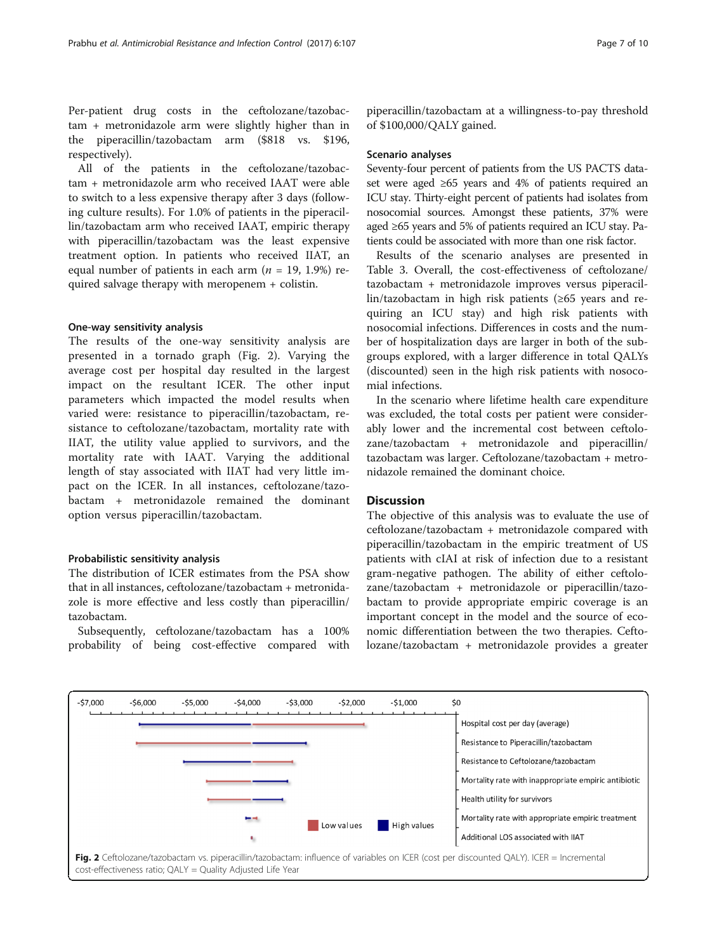Per-patient drug costs in the ceftolozane/tazobactam + metronidazole arm were slightly higher than in the piperacillin/tazobactam arm (\$818 vs. \$196, respectively).

All of the patients in the ceftolozane/tazobactam + metronidazole arm who received IAAT were able to switch to a less expensive therapy after 3 days (following culture results). For 1.0% of patients in the piperacillin/tazobactam arm who received IAAT, empiric therapy with piperacillin/tazobactam was the least expensive treatment option. In patients who received IIAT, an equal number of patients in each arm ( $n = 19, 1.9\%$ ) required salvage therapy with meropenem + colistin.

## One-way sensitivity analysis

The results of the one-way sensitivity analysis are presented in a tornado graph (Fig. 2). Varying the average cost per hospital day resulted in the largest impact on the resultant ICER. The other input parameters which impacted the model results when varied were: resistance to piperacillin/tazobactam, resistance to ceftolozane/tazobactam, mortality rate with IIAT, the utility value applied to survivors, and the mortality rate with IAAT. Varying the additional length of stay associated with IIAT had very little impact on the ICER. In all instances, ceftolozane/tazobactam + metronidazole remained the dominant option versus piperacillin/tazobactam.

## Probabilistic sensitivity analysis

The distribution of ICER estimates from the PSA show that in all instances, ceftolozane/tazobactam + metronidazole is more effective and less costly than piperacillin/ tazobactam.

Subsequently, ceftolozane/tazobactam has a 100% probability of being cost-effective compared with

piperacillin/tazobactam at a willingness-to-pay threshold of \$100,000/QALY gained.

#### Scenario analyses

Seventy-four percent of patients from the US PACTS dataset were aged ≥65 years and 4% of patients required an ICU stay. Thirty-eight percent of patients had isolates from nosocomial sources. Amongst these patients, 37% were aged ≥65 years and 5% of patients required an ICU stay. Patients could be associated with more than one risk factor.

Results of the scenario analyses are presented in Table [3.](#page-7-0) Overall, the cost-effectiveness of ceftolozane/ tazobactam + metronidazole improves versus piperacillin/tazobactam in high risk patients (≥65 years and requiring an ICU stay) and high risk patients with nosocomial infections. Differences in costs and the number of hospitalization days are larger in both of the subgroups explored, with a larger difference in total QALYs (discounted) seen in the high risk patients with nosocomial infections.

In the scenario where lifetime health care expenditure was excluded, the total costs per patient were considerably lower and the incremental cost between ceftolozane/tazobactam + metronidazole and piperacillin/ tazobactam was larger. Ceftolozane/tazobactam + metronidazole remained the dominant choice.

# **Discussion**

The objective of this analysis was to evaluate the use of ceftolozane/tazobactam + metronidazole compared with piperacillin/tazobactam in the empiric treatment of US patients with cIAI at risk of infection due to a resistant gram-negative pathogen. The ability of either ceftolozane/tazobactam + metronidazole or piperacillin/tazobactam to provide appropriate empiric coverage is an important concept in the model and the source of economic differentiation between the two therapies. Ceftolozane/tazobactam + metronidazole provides a greater

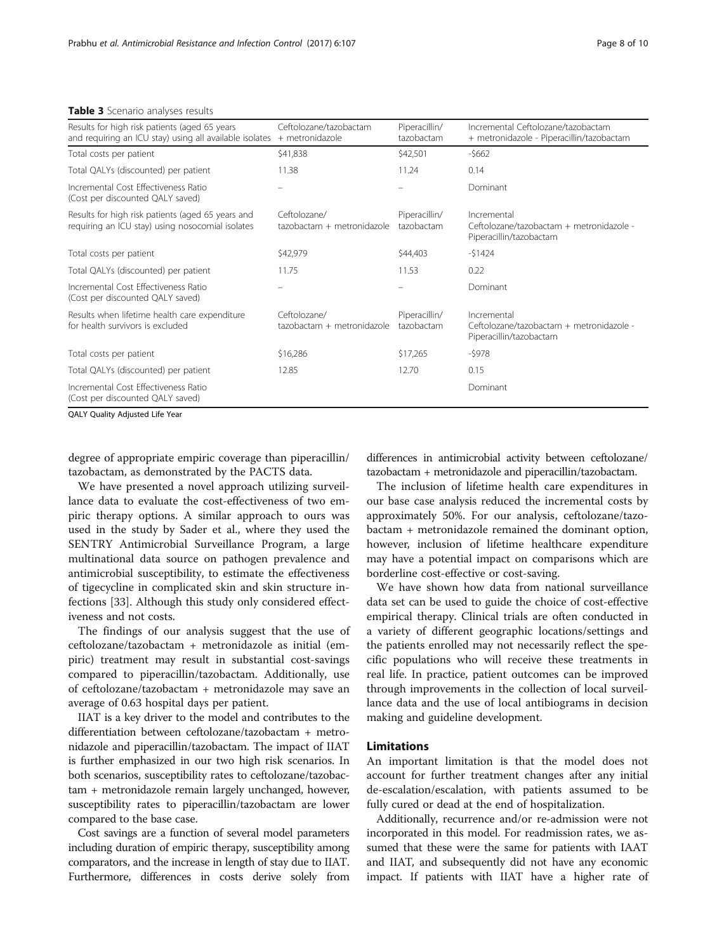## <span id="page-7-0"></span>Table 3 Scenario analyses results

| Results for high risk patients (aged 65 years<br>and requiring an ICU stay) using all available isolates $+$ metronidazole | Ceftolozane/tazobactam                     | Piperacillin/<br>tazobactam | Incremental Ceftolozane/tazobactam<br>+ metronidazole - Piperacillin/tazobactam    |
|----------------------------------------------------------------------------------------------------------------------------|--------------------------------------------|-----------------------------|------------------------------------------------------------------------------------|
| Total costs per patient                                                                                                    | \$41,838                                   | \$42,501                    | $-5662$                                                                            |
| Total QALYs (discounted) per patient                                                                                       | 11.38                                      | 11.24                       | 0.14                                                                               |
| Incremental Cost Effectiveness Ratio<br>(Cost per discounted QALY saved)                                                   |                                            |                             | Dominant                                                                           |
| Results for high risk patients (aged 65 years and<br>requiring an ICU stay) using nosocomial isolates                      | Ceftolozane/<br>tazobactam + metronidazole | Piperacillin/<br>tazobactam | Incremental<br>Ceftolozane/tazobactam + metronidazole -<br>Piperacillin/tazobactam |
| Total costs per patient                                                                                                    | \$42,979                                   | \$44,403                    | $-51424$                                                                           |
| Total QALYs (discounted) per patient                                                                                       | 11.75                                      | 11.53                       | 0.22                                                                               |
| Incremental Cost Effectiveness Ratio<br>(Cost per discounted QALY saved)                                                   |                                            |                             | Dominant                                                                           |
| Results when lifetime health care expenditure<br>for health survivors is excluded                                          | Ceftolozane/<br>tazobactam + metronidazole | Piperacillin/<br>tazobactam | Incremental<br>Ceftolozane/tazobactam + metronidazole -<br>Piperacillin/tazobactam |
| Total costs per patient                                                                                                    | \$16,286                                   | \$17,265                    | $-5978$                                                                            |
| Total QALYs (discounted) per patient                                                                                       | 12.85                                      | 12.70                       | 0.15                                                                               |
| Incremental Cost Effectiveness Ratio<br>(Cost per discounted QALY saved)                                                   |                                            |                             | Dominant                                                                           |
|                                                                                                                            |                                            |                             |                                                                                    |

QALY Quality Adjusted Life Year

degree of appropriate empiric coverage than piperacillin/ tazobactam, as demonstrated by the PACTS data.

We have presented a novel approach utilizing surveillance data to evaluate the cost-effectiveness of two empiric therapy options. A similar approach to ours was used in the study by Sader et al., where they used the SENTRY Antimicrobial Surveillance Program, a large multinational data source on pathogen prevalence and antimicrobial susceptibility, to estimate the effectiveness of tigecycline in complicated skin and skin structure infections [[33\]](#page-9-0). Although this study only considered effectiveness and not costs.

The findings of our analysis suggest that the use of ceftolozane/tazobactam + metronidazole as initial (empiric) treatment may result in substantial cost-savings compared to piperacillin/tazobactam. Additionally, use of ceftolozane/tazobactam + metronidazole may save an average of 0.63 hospital days per patient.

IIAT is a key driver to the model and contributes to the differentiation between ceftolozane/tazobactam + metronidazole and piperacillin/tazobactam. The impact of IIAT is further emphasized in our two high risk scenarios. In both scenarios, susceptibility rates to ceftolozane/tazobactam + metronidazole remain largely unchanged, however, susceptibility rates to piperacillin/tazobactam are lower compared to the base case.

Cost savings are a function of several model parameters including duration of empiric therapy, susceptibility among comparators, and the increase in length of stay due to IIAT. Furthermore, differences in costs derive solely from differences in antimicrobial activity between ceftolozane/ tazobactam + metronidazole and piperacillin/tazobactam.

The inclusion of lifetime health care expenditures in our base case analysis reduced the incremental costs by approximately 50%. For our analysis, ceftolozane/tazobactam + metronidazole remained the dominant option, however, inclusion of lifetime healthcare expenditure may have a potential impact on comparisons which are borderline cost-effective or cost-saving.

We have shown how data from national surveillance data set can be used to guide the choice of cost-effective empirical therapy. Clinical trials are often conducted in a variety of different geographic locations/settings and the patients enrolled may not necessarily reflect the specific populations who will receive these treatments in real life. In practice, patient outcomes can be improved through improvements in the collection of local surveillance data and the use of local antibiograms in decision making and guideline development.

# Limitations

An important limitation is that the model does not account for further treatment changes after any initial de-escalation/escalation, with patients assumed to be fully cured or dead at the end of hospitalization.

Additionally, recurrence and/or re-admission were not incorporated in this model. For readmission rates, we assumed that these were the same for patients with IAAT and IIAT, and subsequently did not have any economic impact. If patients with IIAT have a higher rate of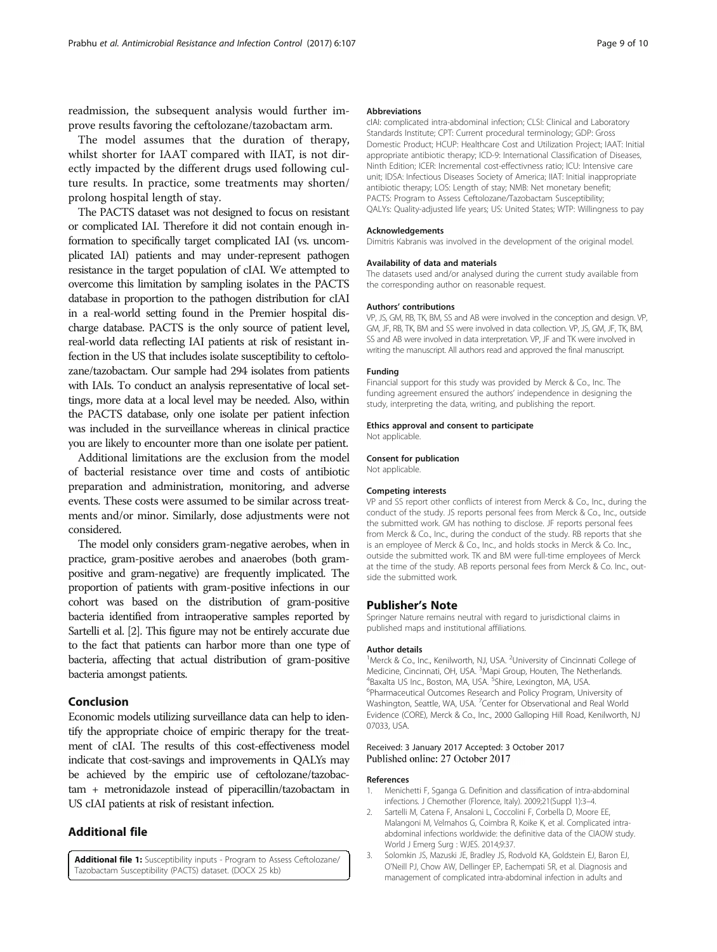<span id="page-8-0"></span>readmission, the subsequent analysis would further improve results favoring the ceftolozane/tazobactam arm.

The model assumes that the duration of therapy, whilst shorter for IAAT compared with IIAT, is not directly impacted by the different drugs used following culture results. In practice, some treatments may shorten/ prolong hospital length of stay.

The PACTS dataset was not designed to focus on resistant or complicated IAI. Therefore it did not contain enough information to specifically target complicated IAI (vs. uncomplicated IAI) patients and may under-represent pathogen resistance in the target population of cIAI. We attempted to overcome this limitation by sampling isolates in the PACTS database in proportion to the pathogen distribution for cIAI in a real-world setting found in the Premier hospital discharge database. PACTS is the only source of patient level, real-world data reflecting IAI patients at risk of resistant infection in the US that includes isolate susceptibility to ceftolozane/tazobactam. Our sample had 294 isolates from patients with IAIs. To conduct an analysis representative of local settings, more data at a local level may be needed. Also, within the PACTS database, only one isolate per patient infection was included in the surveillance whereas in clinical practice you are likely to encounter more than one isolate per patient.

Additional limitations are the exclusion from the model of bacterial resistance over time and costs of antibiotic preparation and administration, monitoring, and adverse events. These costs were assumed to be similar across treatments and/or minor. Similarly, dose adjustments were not considered.

The model only considers gram-negative aerobes, when in practice, gram-positive aerobes and anaerobes (both grampositive and gram-negative) are frequently implicated. The proportion of patients with gram-positive infections in our cohort was based on the distribution of gram-positive bacteria identified from intraoperative samples reported by Sartelli et al. [2]. This figure may not be entirely accurate due to the fact that patients can harbor more than one type of bacteria, affecting that actual distribution of gram-positive bacteria amongst patients.

# Conclusion

Economic models utilizing surveillance data can help to identify the appropriate choice of empiric therapy for the treatment of cIAI. The results of this cost-effectiveness model indicate that cost-savings and improvements in QALYs may be achieved by the empiric use of ceftolozane/tazobactam + metronidazole instead of piperacillin/tazobactam in US cIAI patients at risk of resistant infection.

# Additional file

[Additional file 1:](dx.doi.org/10.1186/s13756-017-0264-2) Susceptibility inputs - Program to Assess Ceftolozane/ Tazobactam Susceptibility (PACTS) dataset. (DOCX 25 kb)

#### Abbreviations

cIAI: complicated intra-abdominal infection; CLSI: Clinical and Laboratory Standards Institute; CPT: Current procedural terminology; GDP: Gross Domestic Product; HCUP: Healthcare Cost and Utilization Project; IAAT: Initial appropriate antibiotic therapy; ICD-9: International Classification of Diseases, Ninth Edition; ICER: Incremental cost-effectivness ratio; ICU: Intensive care unit; IDSA: Infectious Diseases Society of America; IIAT: Initial inappropriate antibiotic therapy; LOS: Length of stay; NMB: Net monetary benefit; PACTS: Program to Assess Ceftolozane/Tazobactam Susceptibility; QALYs: Quality-adjusted life years; US: United States; WTP: Willingness to pay

#### Acknowledgements

Dimitris Kabranis was involved in the development of the original model.

#### Availability of data and materials

The datasets used and/or analysed during the current study available from the corresponding author on reasonable request.

#### Authors' contributions

VP, JS, GM, RB, TK, BM, SS and AB were involved in the conception and design. VP, GM, JF, RB, TK, BM and SS were involved in data collection. VP, JS, GM, JF, TK, BM, SS and AB were involved in data interpretation. VP, JF and TK were involved in writing the manuscript. All authors read and approved the final manuscript.

#### Funding

Financial support for this study was provided by Merck & Co., Inc. The funding agreement ensured the authors' independence in designing the study, interpreting the data, writing, and publishing the report.

#### Ethics approval and consent to participate

Not applicable.

Consent for publication

Not applicable.

#### Competing interests

VP and SS report other conflicts of interest from Merck & Co., Inc., during the conduct of the study. JS reports personal fees from Merck & Co., Inc., outside the submitted work. GM has nothing to disclose. JF reports personal fees from Merck & Co., Inc., during the conduct of the study. RB reports that she is an employee of Merck & Co., Inc., and holds stocks in Merck & Co. Inc., outside the submitted work. TK and BM were full-time employees of Merck at the time of the study. AB reports personal fees from Merck & Co. Inc., outside the submitted work.

#### Publisher's Note

Springer Nature remains neutral with regard to jurisdictional claims in published maps and institutional affiliations.

#### Author details

<sup>1</sup>Merck & Co., Inc., Kenilworth, NJ, USA. <sup>2</sup>University of Cincinnati College of Medicine, Cincinnati, OH, USA. <sup>3</sup>Mapi Group, Houten, The Netherlands<br><sup>4</sup>Baxalta US lac. Boston, MA, USA. <sup>5</sup>Shiro Lovington, MA, USA. <sup>4</sup>Baxalta US Inc., Boston, MA, USA. <sup>5</sup>Shire, Lexington, MA, USA.  $^{6}$ Bharmacoutical Quitomer Becoarch and Bolicy Brogram. Uni <sup>6</sup>Pharmaceutical Outcomes Research and Policy Program, University of Washington, Seattle, WA, USA.<sup>7</sup> Center for Observational and Real World Evidence (CORE), Merck & Co., Inc., 2000 Galloping Hill Road, Kenilworth, NJ 07033, USA.

#### Received: 3 January 2017 Accepted: 3 October 2017 Published online: 27 October 2017

#### References

- 1. Menichetti F, Sganga G. Definition and classification of intra-abdominal infections. J Chemother (Florence, Italy). 2009;21(Suppl 1):3–4.
- 2. Sartelli M, Catena F, Ansaloni L, Coccolini F, Corbella D, Moore EE, Malangoni M, Velmahos G, Coimbra R, Koike K, et al. Complicated intraabdominal infections worldwide: the definitive data of the CIAOW study. World J Emerg Surg : WJES. 2014;9:37.
- 3. Solomkin JS, Mazuski JE, Bradley JS, Rodvold KA, Goldstein EJ, Baron EJ, O'Neill PJ, Chow AW, Dellinger EP, Eachempati SR, et al. Diagnosis and management of complicated intra-abdominal infection in adults and